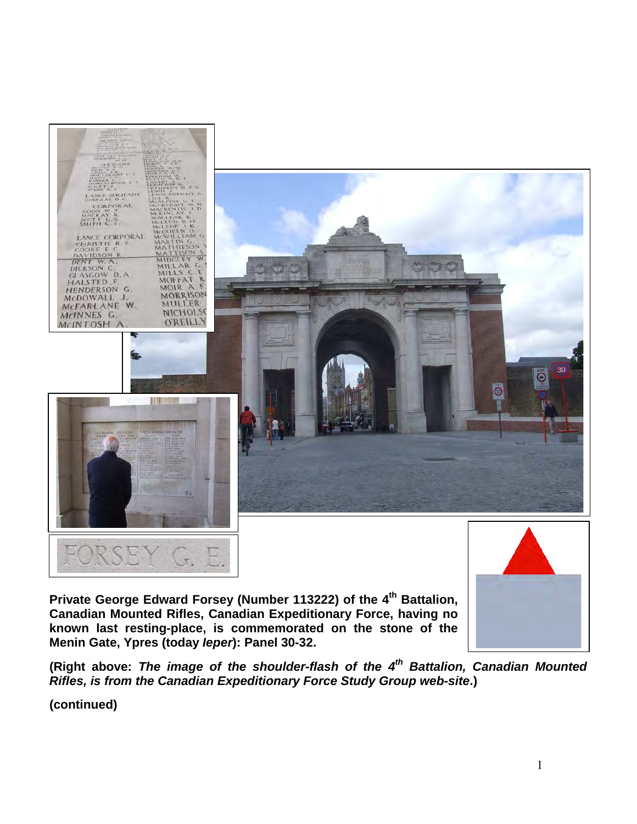

Private George Edward Forsey (Number 113222) of the 4<sup>th</sup> Battalion, **Canadian Mounted Rifles, Canadian Expeditionary Force, having no known last resting-place, is commemorated on the stone of the Menin Gate, Ypres (today** *Ieper***): Panel 30-32.**



**(Right above:** *The image of the shoulder-flash of the 4th Battalion, Canadian Mounted Rifles, is from the Canadian Expeditionary Force Study Group web-site***.)**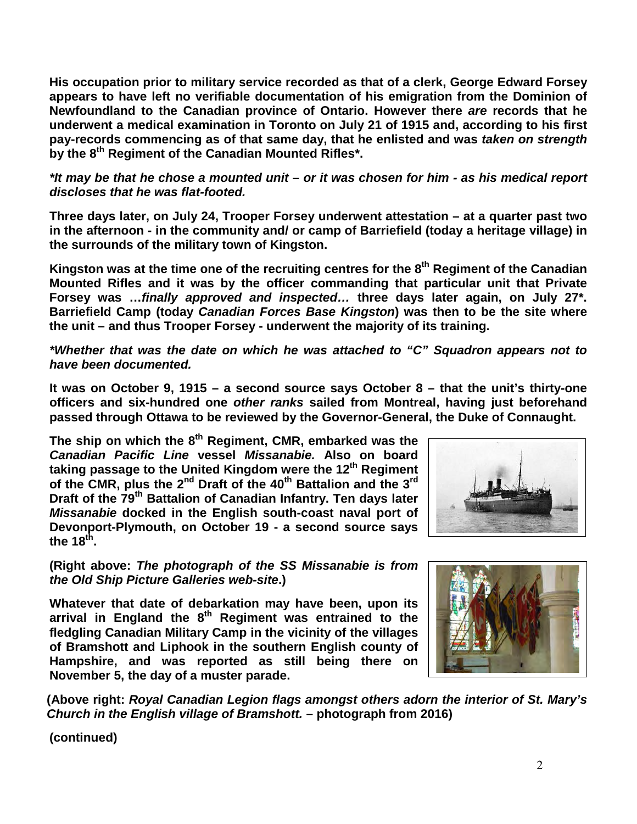**His occupation prior to military service recorded as that of a clerk, George Edward Forsey appears to have left no verifiable documentation of his emigration from the Dominion of Newfoundland to the Canadian province of Ontario. However there** *are* **records that he underwent a medical examination in Toronto on July 21 of 1915 and, according to his first pay-records commencing as of that same day, that he enlisted and was** *taken on strength* **by the 8th Regiment of the Canadian Mounted Rifles\*.** 

*\*It may be that he chose a mounted unit – or it was chosen for him - as his medical report discloses that he was flat-footed.*

**Three days later, on July 24, Trooper Forsey underwent attestation – at a quarter past two in the afternoon - in the community and/ or camp of Barriefield (today a heritage village) in the surrounds of the military town of Kingston.**

Kingston was at the time one of the recruiting centres for the 8<sup>th</sup> Regiment of the Canadian **Mounted Rifles and it was by the officer commanding that particular unit that Private Forsey was …***finally approved and inspected…* **three days later again, on July 27\*. Barriefield Camp (today** *Canadian Forces Base Kingston***) was then to be the site where the unit – and thus Trooper Forsey - underwent the majority of its training.**

*\*Whether that was the date on which he was attached to "C" Squadron appears not to have been documented.*

**It was on October 9, 1915 – a second source says October 8 – that the unit's thirty-one officers and six-hundred one** *other ranks* **sailed from Montreal, having just beforehand passed through Ottawa to be reviewed by the Governor-General, the Duke of Connaught.**

**The ship on which the 8th Regiment, CMR, embarked was the**  *Canadian Pacific Line* **vessel** *Missanabie.* **Also on board taking passage to the United Kingdom were the 12th Regiment of the CMR, plus the 2nd Draft of the 40th Battalion and the 3rd Draft of the 79th Battalion of Canadian Infantry. Ten days later**  *Missanabie* **docked in the English south-coast naval port of Devonport-Plymouth, on October 19 - a second source says the 18th.** 

**(Right above:** *The photograph of the SS Missanabie is from the Old Ship Picture Galleries web-site***.)**

**Whatever that date of debarkation may have been, upon its arrival in England the 8th Regiment was entrained to the fledgling Canadian Military Camp in the vicinity of the villages of Bramshott and Liphook in the southern English county of Hampshire, and was reported as still being there on November 5, the day of a muster parade.**





**(Above right:** *Royal Canadian Legion flags amongst others adorn the interior of St. Mary's Church in the English village of Bramshott.* **– photograph from 2016)**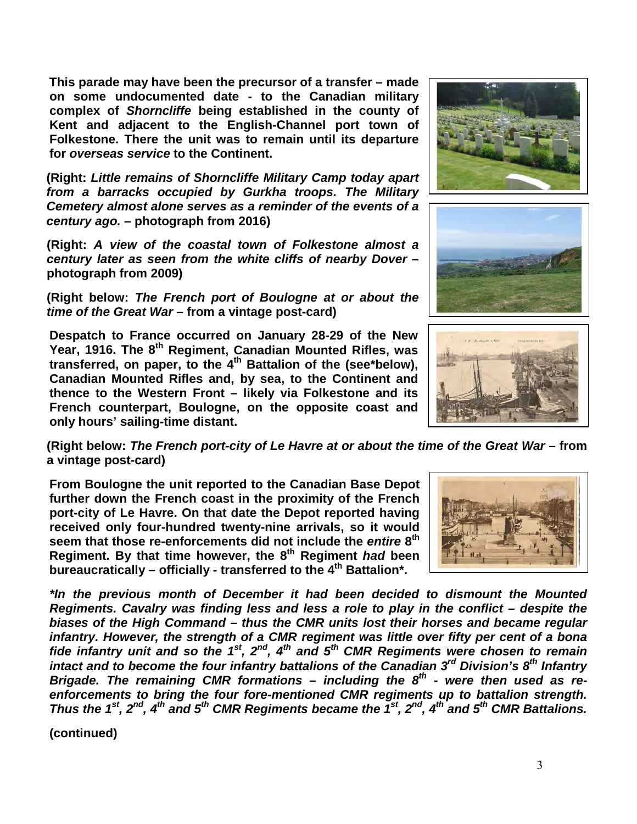**This parade may have been the precursor of a transfer – made on some undocumented date - to the Canadian military complex of** *Shorncliffe* **being established in the county of Kent and adjacent to the English-Channel port town of Folkestone. There the unit was to remain until its departure for** *overseas service* **to the Continent.**

**(Right:** *Little remains of Shorncliffe Military Camp today apart from a barracks occupied by Gurkha troops. The Military Cemetery almost alone serves as a reminder of the events of a century ago.* **– photograph from 2016)**

**(Right:** *A view of the coastal town of Folkestone almost a century later as seen from the white cliffs of nearby Dover* **– photograph from 2009)**

**(Right below:** *The French port of Boulogne at or about the time of the Great War* **– from a vintage post-card)**

**Despatch to France occurred on January 28-29 of the New Year, 1916. The 8th Regiment, Canadian Mounted Rifles, was transferred, on paper, to the 4th Battalion of the (see\*below), Canadian Mounted Rifles and, by sea, to the Continent and thence to the Western Front – likely via Folkestone and its French counterpart, Boulogne, on the opposite coast and only hours' sailing-time distant.**

**(Right below:** *The French port-city of Le Havre at or about the time of the Great War* **– from a vintage post-card)**

**From Boulogne the unit reported to the Canadian Base Depot further down the French coast in the proximity of the French port-city of Le Havre. On that date the Depot reported having received only four-hundred twenty-nine arrivals, so it would seem that those re-enforcements did not include the** *entire* **8th Regiment. By that time however, the 8th Regiment** *had* **been bureaucratically – officially - transferred to the 4th Battalion\*.**

*\*In the previous month of December it had been decided to dismount the Mounted Regiments. Cavalry was finding less and less a role to play in the conflict – despite the biases of the High Command – thus the CMR units lost their horses and became regular infantry. However, the strength of a CMR regiment was little over fifty per cent of a bona fide infantry unit and so the 1st, 2nd, 4th and 5th CMR Regiments were chosen to remain intact and to become the four infantry battalions of the Canadian 3rd Division's 8th Infantry Brigade. The remaining CMR formations – including the 8th - were then used as reenforcements to bring the four fore-mentioned CMR regiments up to battalion strength. Thus the 1st, 2nd, 4th and 5th CMR Regiments became the 1st, 2nd, 4th and 5th CMR Battalions.*







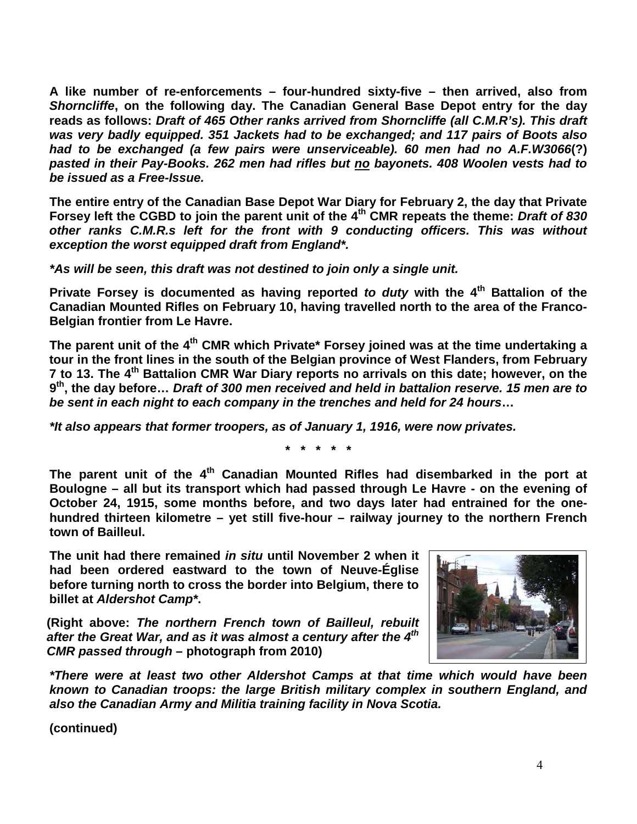**A like number of re-enforcements – four-hundred sixty-five – then arrived, also from**  *Shorncliffe***, on the following day. The Canadian General Base Depot entry for the day reads as follows:** *Draft of 465 Other ranks arrived from Shorncliffe (all C.M.R's). This draft was very badly equipped. 351 Jackets had to be exchanged; and 117 pairs of Boots also had to be exchanged (a few pairs were unserviceable). 60 men had no A.F.W3066***(?)**  *pasted in their Pay-Books. 262 men had rifles but no bayonets. 408 Woolen vests had to be issued as a Free-Issue.*

**The entire entry of the Canadian Base Depot War Diary for February 2, the day that Private Forsey left the CGBD to join the parent unit of the 4th CMR repeats the theme:** *Draft of 830 other ranks C.M.R.s left for the front with 9 conducting officers. This was without exception the worst equipped draft from England\*.* 

*\*As will be seen, this draft was not destined to join only a single unit.*

**Private Forsey is documented as having reported** *to duty* **with the 4th Battalion of the Canadian Mounted Rifles on February 10, having travelled north to the area of the Franco-Belgian frontier from Le Havre.**

The parent unit of the 4<sup>th</sup> CMR which Private<sup>\*</sup> Forsey joined was at the time undertaking a **tour in the front lines in the south of the Belgian province of West Flanders, from February 7 to 13. The 4th Battalion CMR War Diary reports no arrivals on this date; however, on the 9th, the day before…** *Draft of 300 men received and held in battalion reserve. 15 men are to be sent in each night to each company in the trenches and held for 24 hours***…** 

*\*It also appears that former troopers, as of January 1, 1916, were now privates.*

**\* \* \* \* \***

The parent unit of the 4<sup>th</sup> Canadian Mounted Rifles had disembarked in the port at **Boulogne – all but its transport which had passed through Le Havre - on the evening of October 24, 1915, some months before, and two days later had entrained for the onehundred thirteen kilometre – yet still five-hour – railway journey to the northern French town of Bailleul.** 

**The unit had there remained** *in situ* **until November 2 when it had been ordered eastward to the town of Neuve-Église before turning north to cross the border into Belgium, there to billet at** *Aldershot Camp\****.** 

**(Right above:** *The northern French town of Bailleul, rebuilt after the Great War, and as it was almost a century after the 4th CMR passed through* **– photograph from 2010)**



*\*There were at least two other Aldershot Camps at that time which would have been known to Canadian troops: the large British military complex in southern England, and also the Canadian Army and Militia training facility in Nova Scotia.*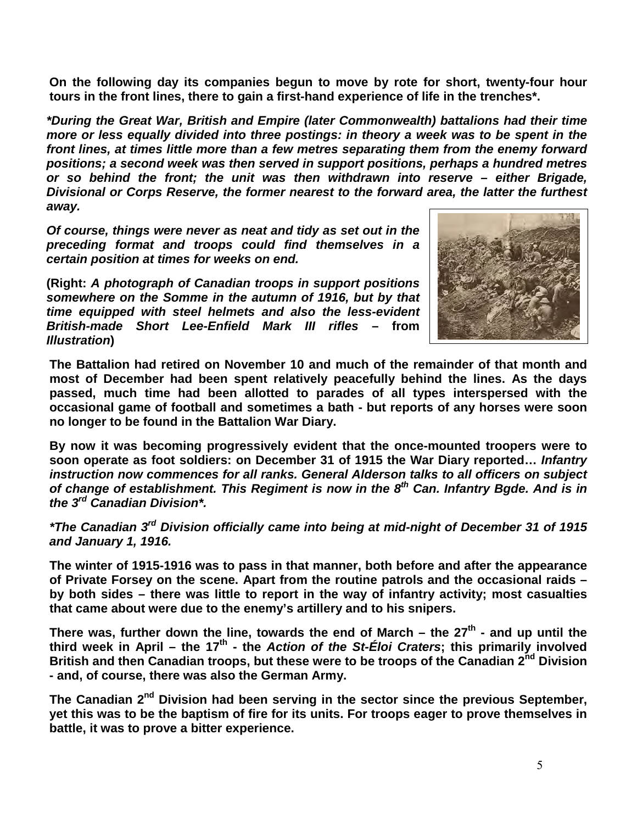**On the following day its companies begun to move by rote for short, twenty-four hour tours in the front lines, there to gain a first-hand experience of life in the trenches\*.**

*\*During the Great War, British and Empire (later Commonwealth) battalions had their time more or less equally divided into three postings: in theory a week was to be spent in the front lines, at times little more than a few metres separating them from the enemy forward positions; a second week was then served in support positions, perhaps a hundred metres or so behind the front; the unit was then withdrawn into reserve – either Brigade, Divisional or Corps Reserve, the former nearest to the forward area, the latter the furthest away.* 

*Of course, things were never as neat and tidy as set out in the preceding format and troops could find themselves in a certain position at times for weeks on end.*

**(Right:** *A photograph of Canadian troops in support positions somewhere on the Somme in the autumn of 1916, but by that time equipped with steel helmets and also the less-evident British-made Short Lee-Enfield Mark III rifles* **– from**  *Illustration***)** 



**The Battalion had retired on November 10 and much of the remainder of that month and most of December had been spent relatively peacefully behind the lines. As the days passed, much time had been allotted to parades of all types interspersed with the occasional game of football and sometimes a bath - but reports of any horses were soon no longer to be found in the Battalion War Diary.** 

**By now it was becoming progressively evident that the once-mounted troopers were to soon operate as foot soldiers: on December 31 of 1915 the War Diary reported…** *Infantry instruction now commences for all ranks. General Alderson talks to all officers on subject of change of establishment. This Regiment is now in the 8th Can. Infantry Bgde. And is in the 3rd Canadian Division\*.* 

*\*The Canadian 3rd Division officially came into being at mid-night of December 31 of 1915 and January 1, 1916.* 

**The winter of 1915-1916 was to pass in that manner, both before and after the appearance of Private Forsey on the scene. Apart from the routine patrols and the occasional raids – by both sides – there was little to report in the way of infantry activity; most casualties that came about were due to the enemy's artillery and to his snipers.**

There was, further down the line, towards the end of March – the 27<sup>th</sup> - and up until the third week in April – the 17<sup>th</sup> - the *Action of the St-Éloi Craters*; this primarily involved **British and then Canadian troops, but these were to be troops of the Canadian 2nd Division - and, of course, there was also the German Army.**

**The Canadian 2nd Division had been serving in the sector since the previous September, yet this was to be the baptism of fire for its units. For troops eager to prove themselves in battle, it was to prove a bitter experience.**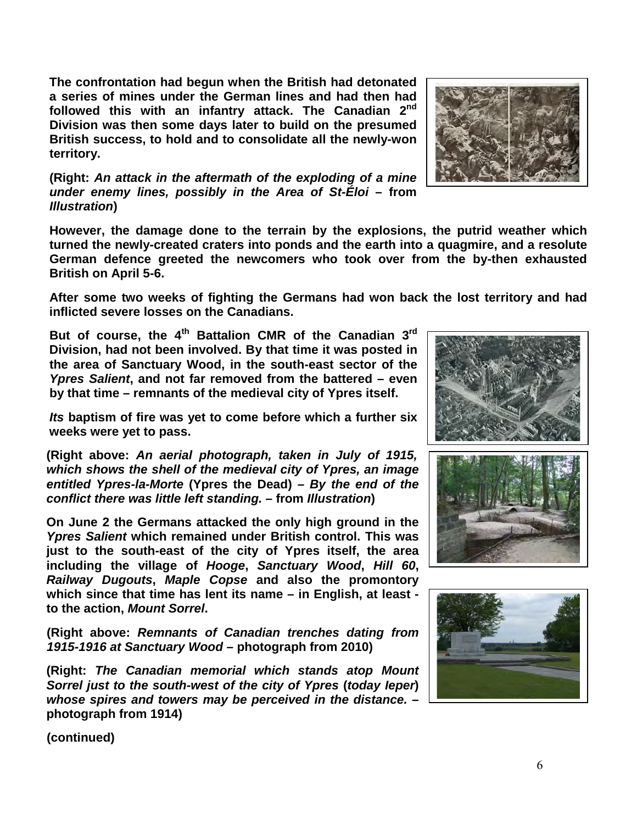**The confrontation had begun when the British had detonated a series of mines under the German lines and had then had followed this with an infantry attack. The Canadian 2nd Division was then some days later to build on the presumed British success, to hold and to consolidate all the newly-won territory.** 

**(Right:** *An attack in the aftermath of the exploding of a mine under enemy lines, possibly in the Area of St-Éloi* **– from**  *Illustration***)** 

**However, the damage done to the terrain by the explosions, the putrid weather which turned the newly-created craters into ponds and the earth into a quagmire, and a resolute German defence greeted the newcomers who took over from the by-then exhausted British on April 5-6.** 

**After some two weeks of fighting the Germans had won back the lost territory and had inflicted severe losses on the Canadians.**

**But of course, the 4th Battalion CMR of the Canadian 3rd Division, had not been involved. By that time it was posted in the area of Sanctuary Wood, in the south-east sector of the**  *Ypres Salient***, and not far removed from the battered – even by that time – remnants of the medieval city of Ypres itself.**

*Its* **baptism of fire was yet to come before which a further six weeks were yet to pass.**

**(Right above:** *An aerial photograph, taken in July of 1915, which shows the shell of the medieval city of Ypres, an image entitled Ypres-la-Morte* **(Ypres the Dead)** *– By the end of the conflict there was little left standing. –* **from** *Illustration***)** 

**On June 2 the Germans attacked the only high ground in the**  *Ypres Salient* **which remained under British control. This was just to the south-east of the city of Ypres itself, the area including the village of** *Hooge***,** *Sanctuary Wood***,** *Hill 60***,**  *Railway Dugouts***,** *Maple Copse* **and also the promontory which since that time has lent its name – in English, at least to the action,** *Mount Sorrel***.** 

**(Right above:** *Remnants of Canadian trenches dating from 1915-1916 at Sanctuary Wood* **– photograph from 2010)**

**(Right:** *The Canadian memorial which stands atop Mount Sorrel just to the south-west of the city of Ypres* **(***today Ieper***)** *whose spires and towers may be perceived in the distance.* **– photograph from 1914)**





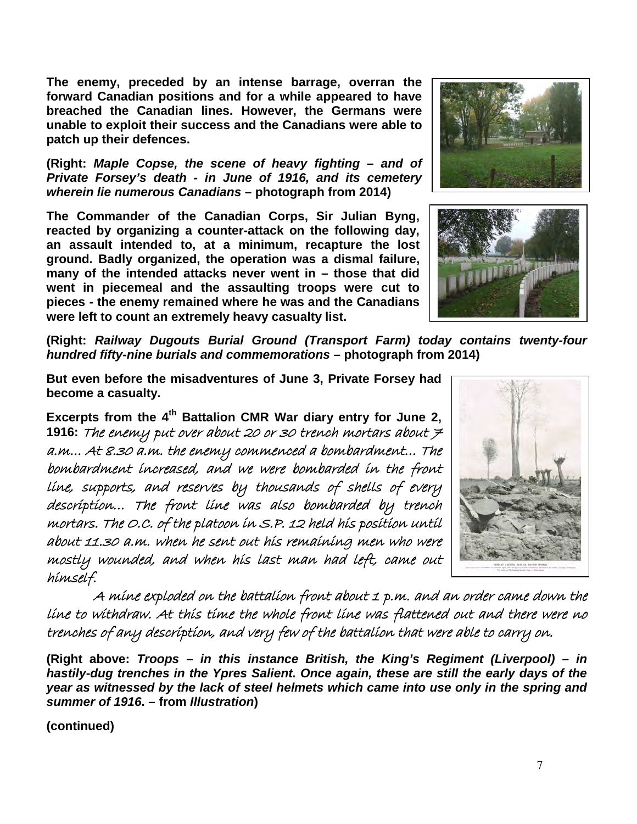**The enemy, preceded by an intense barrage, overran the forward Canadian positions and for a while appeared to have breached the Canadian lines. However, the Germans were unable to exploit their success and the Canadians were able to patch up their defences.**

**(Right:** *Maple Copse, the scene of heavy fighting – and of Private Forsey's death - in June of 1916, and its cemetery wherein lie numerous Canadians* **– photograph from 2014)**

**The Commander of the Canadian Corps, Sir Julian Byng, reacted by organizing a counter-attack on the following day, an assault intended to, at a minimum, recapture the lost ground. Badly organized, the operation was a dismal failure, many of the intended attacks never went in – those that did went in piecemeal and the assaulting troops were cut to pieces - the enemy remained where he was and the Canadians were left to count an extremely heavy casualty list.**



**(Right:** *Railway Dugouts Burial Ground (Transport Farm) today contains twenty-four hundred fifty-nine burials and commemorations* **– photograph from 2014)**

**But even before the misadventures of June 3, Private Forsey had become a casualty.**

**Excerpts from the 4th Battalion CMR War diary entry for June 2, 1916:** The enemy put over about 20 or 30 trench mortars about 7 a.m… At 8.30 a.m. the enemy commenced a bombardment… The bombardment increased, and we were bombarded in the front line, supports, and reserves by thousands of shells of every description… The front line was also bombarded by trench mortars. The O.C. of the platoon in S.P. 12 held his position until about 11.30 a.m. when he sent out his remaining men who were mostly wounded, and when his last man had left, came out himself.

 A mine exploded on the battalion front about 1 p.m. and an order came down the line to withdraw. At this time the whole front line was flattened out and there were no trenches of any description, and very few of the battalion that were able to carry on.

**(Right above:** *Troops – in this instance British, the King's Regiment (Liverpool) – in hastily-dug trenches in the Ypres Salient. Once again, these are still the early days of the year as witnessed by the lack of steel helmets which came into use only in the spring and summer of 1916***. – from** *Illustration***)**